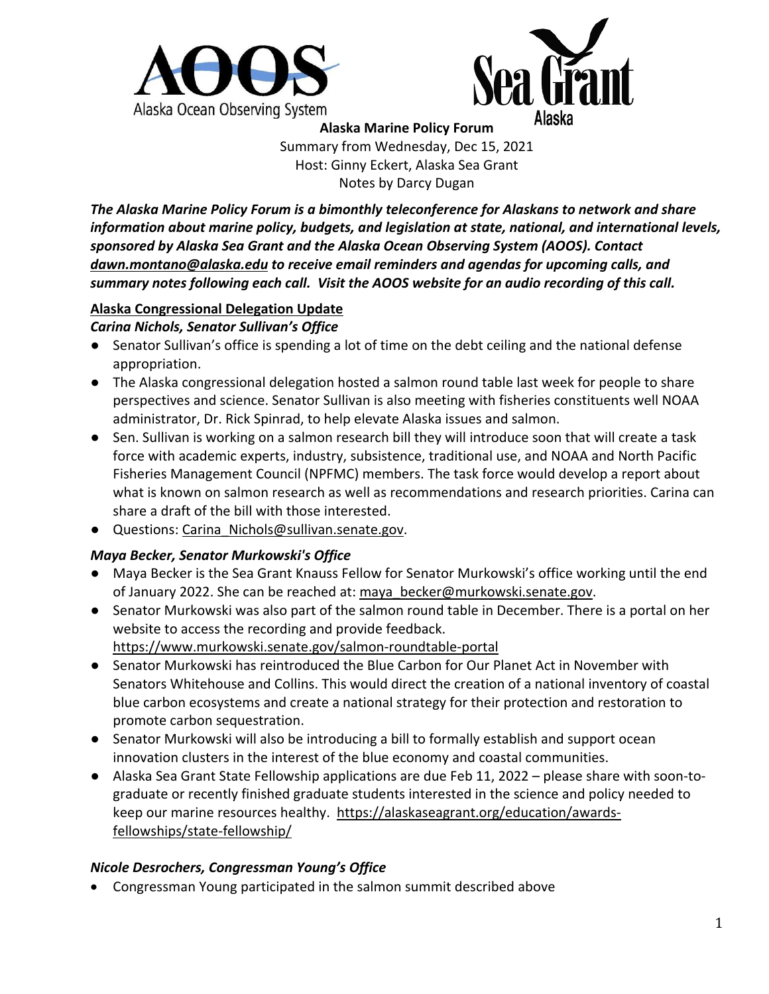



**Alaska Marine Policy Forum** Summary from Wednesday, Dec 15, 2021 Host: Ginny Eckert, Alaska Sea Grant Notes by Darcy Dugan

*The Alaska Marine Policy Forum is a bimonthly teleconference for Alaskans to network and share information about marine policy, budgets, and legislation at state, national, and international levels, sponsored by Alaska Sea Grant and the Alaska Ocean Observing System (AOOS). Contact [dawn.montano@alaska.edu](mailto:dawn.montano@alaska.edu) to receive email reminders and agendas for upcoming calls, and summary notes following each call. Visit the AOOS website for an audio recording of this call.*

## **Alaska Congressional Delegation Update**

### *Carina Nichols, Senator Sullivan's Office*

- Senator Sullivan's office is spending a lot of time on the debt ceiling and the national defense appropriation.
- The Alaska congressional delegation hosted a salmon round table last week for people to share perspectives and science. Senator Sullivan is also meeting with fisheries constituents well NOAA administrator, Dr. Rick Spinrad, to help elevate Alaska issues and salmon.
- Sen. Sullivan is working on a salmon research bill they will introduce soon that will create a task force with academic experts, industry, subsistence, traditional use, and NOAA and North Pacific Fisheries Management Council (NPFMC) members. The task force would develop a report about what is known on salmon research as well as recommendations and research priorities. Carina can share a draft of the bill with those interested.
- Questions: [Carina\\_Nichols@sullivan.senate.gov.](mailto:Carina_Nichols@sullivan.senate.gov)

# *Maya Becker, Senator Murkowski's Office*

- Maya Becker is the Sea Grant Knauss Fellow for Senator Murkowski's office working until the end of January 2022. She can be reached at: maya becker@murkowski.senate.gov.
- Senator Murkowski was also part of the salmon round table in December. There is a portal on her website to access the recording and provide feedback. <https://www.murkowski.senate.gov/salmon-roundtable-portal>
- Senator Murkowski has reintroduced the Blue Carbon for Our Planet Act in November with Senators Whitehouse and Collins. This would direct the creation of a national inventory of coastal blue carbon ecosystems and create a national strategy for their protection and restoration to promote carbon sequestration.
- Senator Murkowski will also be introducing a bill to formally establish and support ocean innovation clusters in the interest of the blue economy and coastal communities.
- Alaska Sea Grant State Fellowship applications are due Feb 11, 2022 please share with soon-tograduate or recently finished graduate students interested in the science and policy needed to keep our marine resources healthy. [https://alaskaseagrant.org/education/awards](https://alaskaseagrant.org/education/awards-fellowships/state-fellowship/)[fellowships/state-fellowship/](https://alaskaseagrant.org/education/awards-fellowships/state-fellowship/)

# *Nicole Desrochers, Congressman Young's Office*

• Congressman Young participated in the salmon summit described above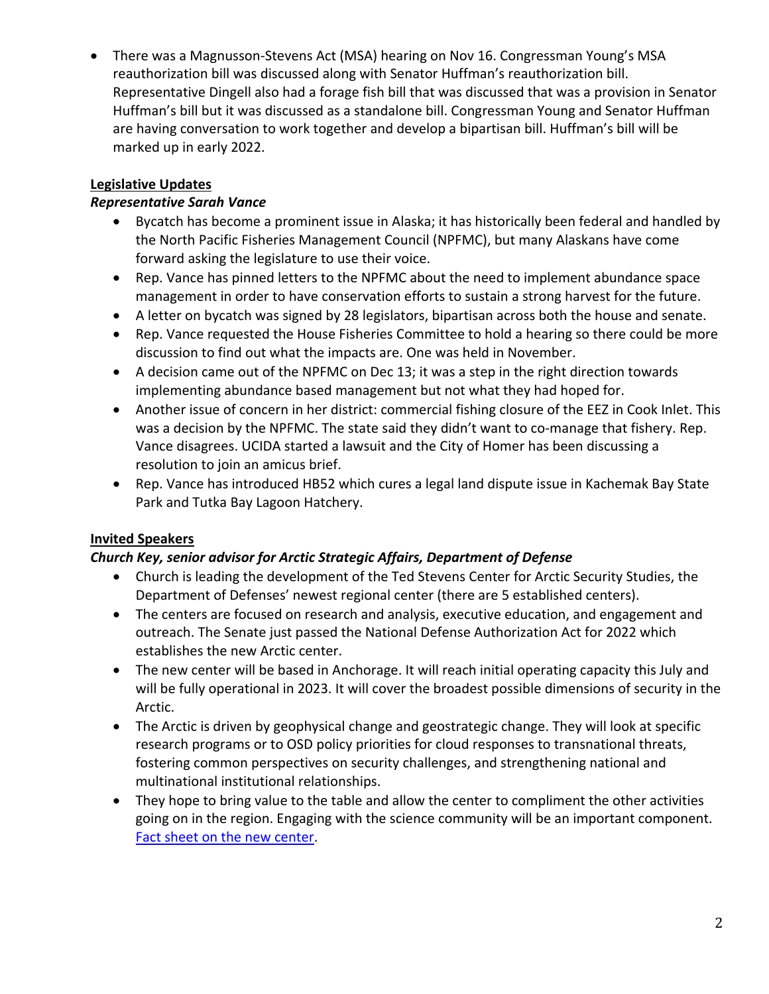• There was a Magnusson-Stevens Act (MSA) hearing on Nov 16. Congressman Young's MSA reauthorization bill was discussed along with Senator Huffman's reauthorization bill. Representative Dingell also had a forage fish bill that was discussed that was a provision in Senator Huffman's bill but it was discussed as a standalone bill. Congressman Young and Senator Huffman are having conversation to work together and develop a bipartisan bill. Huffman's bill will be marked up in early 2022.

## **Legislative Updates**

### *Representative Sarah Vance*

- Bycatch has become a prominent issue in Alaska; it has historically been federal and handled by the North Pacific Fisheries Management Council (NPFMC), but many Alaskans have come forward asking the legislature to use their voice.
- Rep. Vance has pinned letters to the NPFMC about the need to implement abundance space management in order to have conservation efforts to sustain a strong harvest for the future.
- A letter on bycatch was signed by 28 legislators, bipartisan across both the house and senate.
- Rep. Vance requested the House Fisheries Committee to hold a hearing so there could be more discussion to find out what the impacts are. One was held in November.
- A decision came out of the NPFMC on Dec 13; it was a step in the right direction towards implementing abundance based management but not what they had hoped for.
- Another issue of concern in her district: commercial fishing closure of the EEZ in Cook Inlet. This was a decision by the NPFMC. The state said they didn't want to co-manage that fishery. Rep. Vance disagrees. UCIDA started a lawsuit and the City of Homer has been discussing a resolution to join an amicus brief.
- Rep. Vance has introduced HB52 which cures a legal land dispute issue in Kachemak Bay State Park and Tutka Bay Lagoon Hatchery.

# **Invited Speakers**

### *Church Key, senior advisor for Arctic Strategic Affairs, Department of Defense*

- Church is leading the development of the Ted Stevens Center for Arctic Security Studies, the Department of Defenses' newest regional center (there are 5 established centers).
- The centers are focused on research and analysis, executive education, and engagement and outreach. The Senate just passed the National Defense Authorization Act for 2022 which establishes the new Arctic center.
- The new center will be based in Anchorage. It will reach initial operating capacity this July and will be fully operational in 2023. It will cover the broadest possible dimensions of security in the Arctic.
- The Arctic is driven by geophysical change and geostrategic change. They will look at specific research programs or to OSD policy priorities for cloud responses to transnational threats, fostering common perspectives on security challenges, and strengthening national and multinational institutional relationships.
- They hope to bring value to the table and allow the center to compliment the other activities going on in the region. Engaging with the science community will be an important component. [Fact sheet on the new center.](https://media.defense.gov/2021/Nov/17/2002894807/-1/-1/0/DOD-TSC-FACT-SHEET-(FINAL).PDF)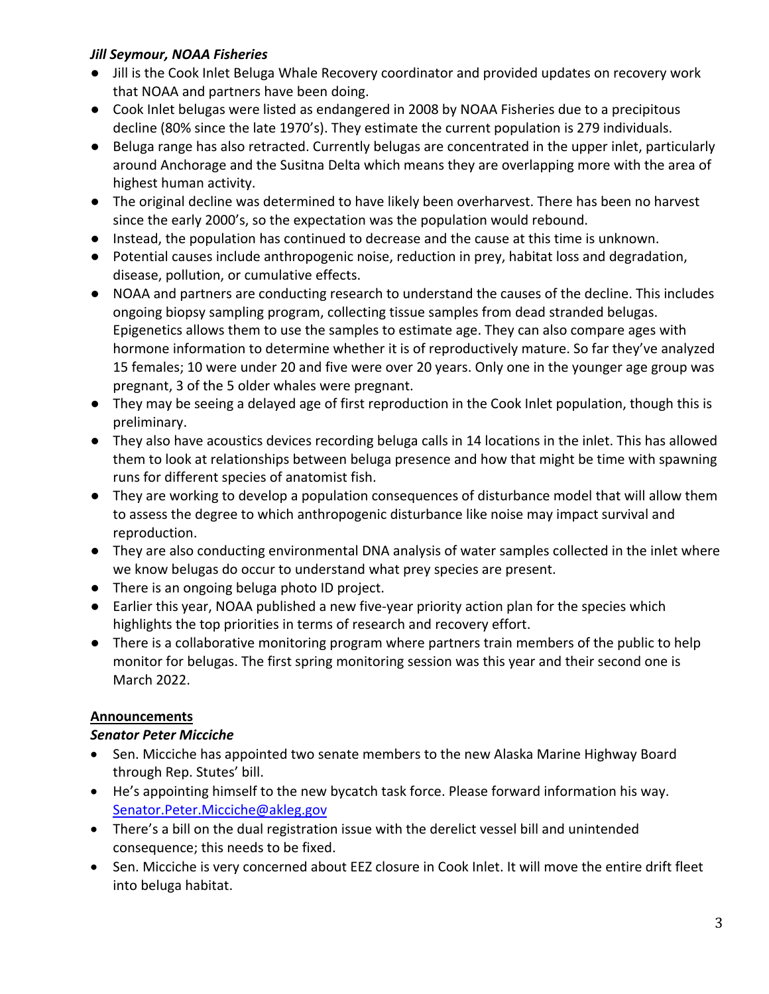## *Jill Seymour, NOAA Fisheries*

- Jill is the Cook Inlet Beluga Whale Recovery coordinator and provided updates on recovery work that NOAA and partners have been doing.
- Cook Inlet belugas were listed as endangered in 2008 by NOAA Fisheries due to a precipitous decline (80% since the late 1970's). They estimate the current population is 279 individuals.
- Beluga range has also retracted. Currently belugas are concentrated in the upper inlet, particularly around Anchorage and the Susitna Delta which means they are overlapping more with the area of highest human activity.
- The original decline was determined to have likely been overharvest. There has been no harvest since the early 2000's, so the expectation was the population would rebound.
- Instead, the population has continued to decrease and the cause at this time is unknown.
- Potential causes include anthropogenic noise, reduction in prey, habitat loss and degradation, disease, pollution, or cumulative effects.
- NOAA and partners are conducting research to understand the causes of the decline. This includes ongoing biopsy sampling program, collecting tissue samples from dead stranded belugas. Epigenetics allows them to use the samples to estimate age. They can also compare ages with hormone information to determine whether it is of reproductively mature. So far they've analyzed 15 females; 10 were under 20 and five were over 20 years. Only one in the younger age group was pregnant, 3 of the 5 older whales were pregnant.
- They may be seeing a delayed age of first reproduction in the Cook Inlet population, though this is preliminary.
- They also have acoustics devices recording beluga calls in 14 locations in the inlet. This has allowed them to look at relationships between beluga presence and how that might be time with spawning runs for different species of anatomist fish.
- They are working to develop a population consequences of disturbance model that will allow them to assess the degree to which anthropogenic disturbance like noise may impact survival and reproduction.
- They are also conducting environmental DNA analysis of water samples collected in the inlet where we know belugas do occur to understand what prey species are present.
- There is an ongoing beluga photo ID project.
- Earlier this year, NOAA published a new five-year priority action plan for the species which highlights the top priorities in terms of research and recovery effort.
- There is a collaborative monitoring program where partners train members of the public to help monitor for belugas. The first spring monitoring session was this year and their second one is March 2022.

### **Announcements**

### *Senator Peter Micciche*

- Sen. Micciche has appointed two senate members to the new Alaska Marine Highway Board through Rep. Stutes' bill.
- He's appointing himself to the new bycatch task force. Please forward information his way. [Senator.Peter.Micciche@akleg.gov](mailto:Senator.Peter.Micciche@akleg.gov)
- There's a bill on the dual registration issue with the derelict vessel bill and unintended consequence; this needs to be fixed.
- Sen. Micciche is very concerned about EEZ closure in Cook Inlet. It will move the entire drift fleet into beluga habitat.